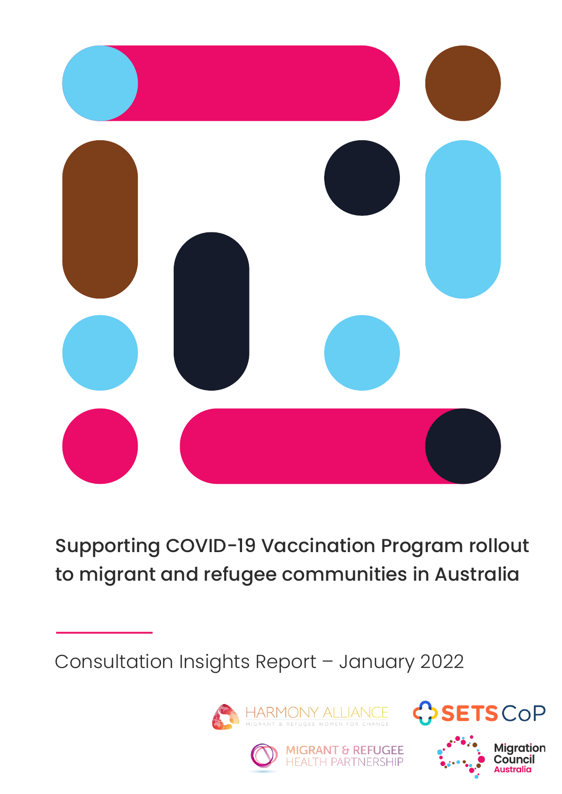

Supporting COVID-19 Vaccination Program rollout to migrant and refugee communities in Australia

Consultation Insights Report – January 2022







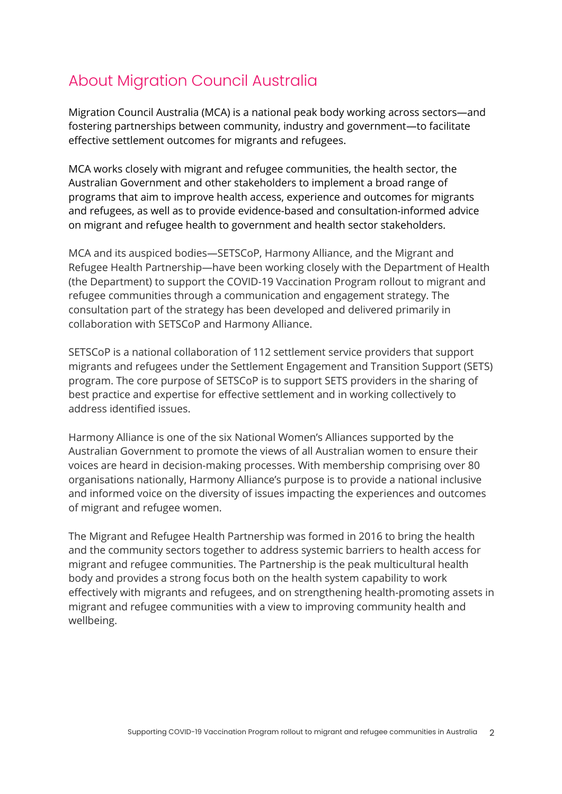## About Migration Council Australia

Migration Council Australia (MCA) is a national peak body working across sectors—and fostering partnerships between community, industry and government—to facilitate effective settlement outcomes for migrants and refugees.

MCA works closely with migrant and refugee communities, the health sector, the Australian Government and other stakeholders to implement a broad range of programs that aim to improve health access, experience and outcomes for migrants and refugees, as well as to provide evidence-based and consultation-informed advice on migrant and refugee health to government and health sector stakeholders.

MCA and its auspiced bodies—SETSCoP, Harmony Alliance, and the Migrant and Refugee Health Partnership—have been working closely with the Department of Health (the Department) to support the COVID-19 Vaccination Program rollout to migrant and refugee communities through a communication and engagement strategy. The consultation part of the strategy has been developed and delivered primarily in collaboration with SETSCoP and Harmony Alliance.

SETSCoP is a national collaboration of 112 settlement service providers that support migrants and refugees under the Settlement Engagement and Transition Support (SETS) program. The core purpose of SETSCoP is to support SETS providers in the sharing of best practice and expertise for effective settlement and in working collectively to address identified issues.

Harmony Alliance is one of the six National Women's Alliances supported by the Australian Government to promote the views of all Australian women to ensure their voices are heard in decision-making processes. With membership comprising over 80 organisations nationally, Harmony Alliance's purpose is to provide a national inclusive and informed voice on the diversity of issues impacting the experiences and outcomes of migrant and refugee women.

The Migrant and Refugee Health Partnership was formed in 2016 to bring the health and the community sectors together to address systemic barriers to health access for migrant and refugee communities. The Partnership is the peak multicultural health body and provides a strong focus both on the health system capability to work effectively with migrants and refugees, and on strengthening health-promoting assets in migrant and refugee communities with a view to improving community health and wellbeing.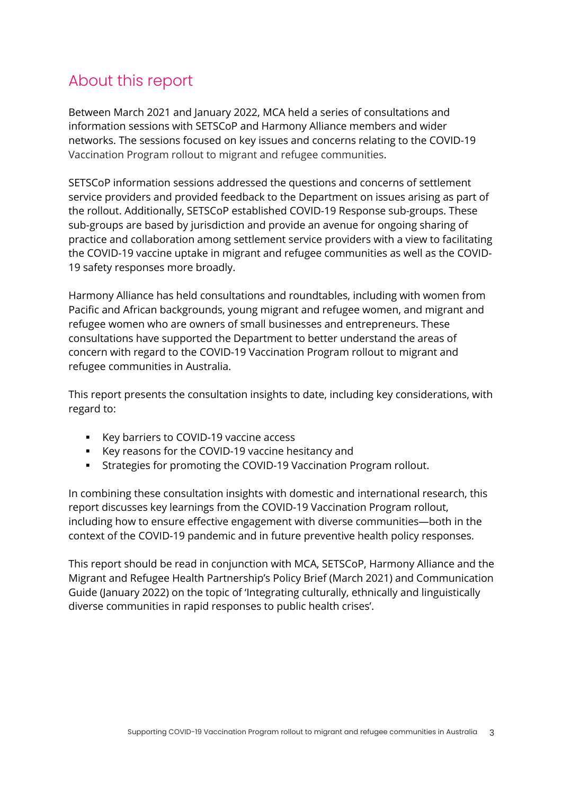## About this report

Between March 2021 and January 2022, MCA held a series of consultations and information sessions with SETSCoP and Harmony Alliance members and wider networks. The sessions focused on key issues and concerns relating to the COVID-19 Vaccination Program rollout to migrant and refugee communities.

SETSCoP information sessions addressed the questions and concerns of settlement service providers and provided feedback to the Department on issues arising as part of the rollout. Additionally, SETSCoP established COVID-19 Response sub-groups. These sub-groups are based by jurisdiction and provide an avenue for ongoing sharing of practice and collaboration among settlement service providers with a view to facilitating the COVID-19 vaccine uptake in migrant and refugee communities as well as the COVID-19 safety responses more broadly.

Harmony Alliance has held consultations and roundtables, including with women from Pacific and African backgrounds, young migrant and refugee women, and migrant and refugee women who are owners of small businesses and entrepreneurs. These consultations have supported the Department to better understand the areas of concern with regard to the COVID-19 Vaccination Program rollout to migrant and refugee communities in Australia.

This report presents the consultation insights to date, including key considerations, with regard to:

- Key barriers to COVID-19 vaccine access
- § Key reasons for the COVID-19 vaccine hesitancy and
- § Strategies for promoting the COVID-19 Vaccination Program rollout.

In combining these consultation insights with domestic and international research, this report discusses key learnings from the COVID-19 Vaccination Program rollout, including how to ensure effective engagement with diverse communities—both in the context of the COVID-19 pandemic and in future preventive health policy responses.

This report should be read in conjunction with MCA, SETSCoP, Harmony Alliance and the Migrant and Refugee Health Partnership's Policy Brief (March 2021) and Communication Guide (January 2022) on the topic of 'Integrating culturally, ethnically and linguistically diverse communities in rapid responses to public health crises'.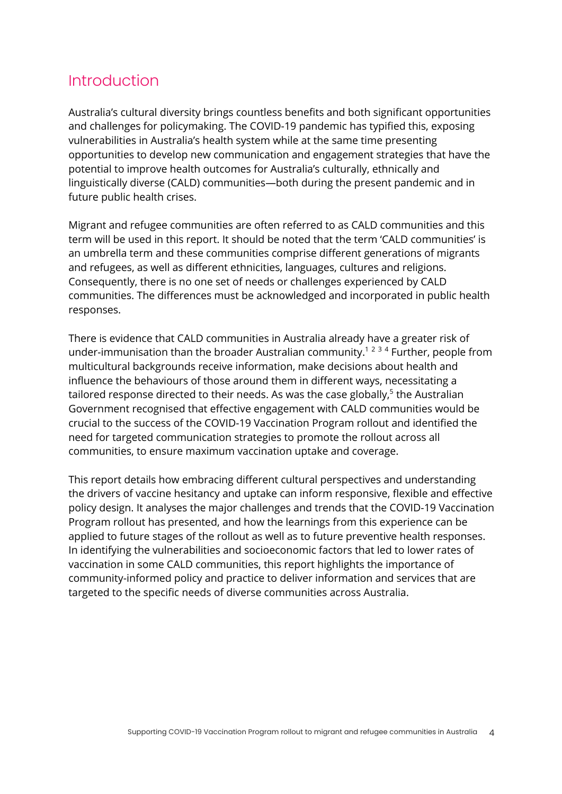## Introduction

Australia's cultural diversity brings countless benefits and both significant opportunities and challenges for policymaking. The COVID-19 pandemic has typified this, exposing vulnerabilities in Australia's health system while at the same time presenting opportunities to develop new communication and engagement strategies that have the potential to improve health outcomes for Australia's culturally, ethnically and linguistically diverse (CALD) communities—both during the present pandemic and in future public health crises.

Migrant and refugee communities are often referred to as CALD communities and this term will be used in this report. It should be noted that the term 'CALD communities' is an umbrella term and these communities comprise different generations of migrants and refugees, as well as different ethnicities, languages, cultures and religions. Consequently, there is no one set of needs or challenges experienced by CALD communities. The differences must be acknowledged and incorporated in public health responses.

There is evidence that CALD communities in Australia already have a greater risk of under-immunisation than the broader Australian community.<sup>1234</sup> Further, people from multicultural backgrounds receive information, make decisions about health and influence the behaviours of those around them in different ways, necessitating a tailored response directed to their needs. As was the case globally, $5$  the Australian Government recognised that effective engagement with CALD communities would be crucial to the success of the COVID-19 Vaccination Program rollout and identified the need for targeted communication strategies to promote the rollout across all communities, to ensure maximum vaccination uptake and coverage.

This report details how embracing different cultural perspectives and understanding the drivers of vaccine hesitancy and uptake can inform responsive, flexible and effective policy design. It analyses the major challenges and trends that the COVID-19 Vaccination Program rollout has presented, and how the learnings from this experience can be applied to future stages of the rollout as well as to future preventive health responses. In identifying the vulnerabilities and socioeconomic factors that led to lower rates of vaccination in some CALD communities, this report highlights the importance of community-informed policy and practice to deliver information and services that are targeted to the specific needs of diverse communities across Australia.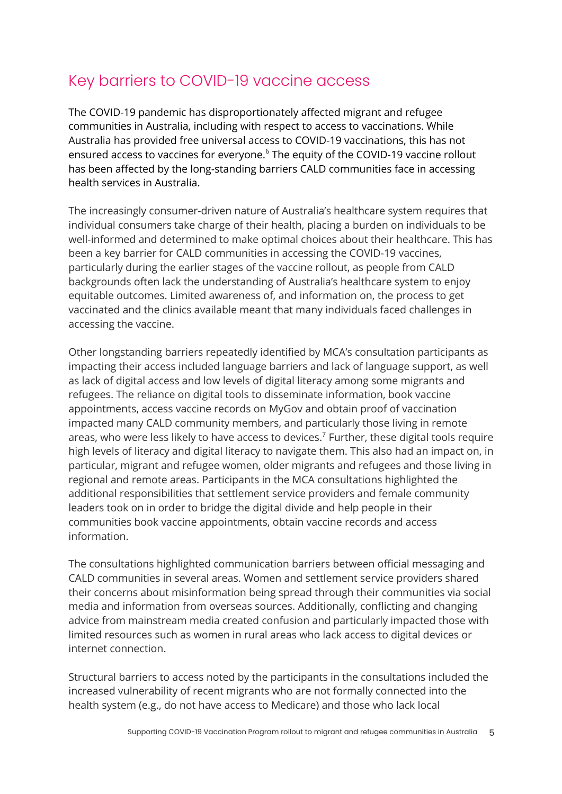## Key barriers to COVID-19 vaccine access

The COVID-19 pandemic has disproportionately affected migrant and refugee communities in Australia, including with respect to access to vaccinations. While Australia has provided free universal access to COVID-19 vaccinations, this has not ensured access to vaccines for everyone.<sup>6</sup> The equity of the COVID-19 vaccine rollout has been affected by the long-standing barriers CALD communities face in accessing health services in Australia.

The increasingly consumer-driven nature of Australia's healthcare system requires that individual consumers take charge of their health, placing a burden on individuals to be well-informed and determined to make optimal choices about their healthcare. This has been a key barrier for CALD communities in accessing the COVID-19 vaccines, particularly during the earlier stages of the vaccine rollout, as people from CALD backgrounds often lack the understanding of Australia's healthcare system to enjoy equitable outcomes. Limited awareness of, and information on, the process to get vaccinated and the clinics available meant that many individuals faced challenges in accessing the vaccine.

Other longstanding barriers repeatedly identified by MCA's consultation participants as impacting their access included language barriers and lack of language support, as well as lack of digital access and low levels of digital literacy among some migrants and refugees. The reliance on digital tools to disseminate information, book vaccine appointments, access vaccine records on MyGov and obtain proof of vaccination impacted many CALD community members, and particularly those living in remote areas, who were less likely to have access to devices.<sup>7</sup> Further, these digital tools require high levels of literacy and digital literacy to navigate them. This also had an impact on, in particular, migrant and refugee women, older migrants and refugees and those living in regional and remote areas. Participants in the MCA consultations highlighted the additional responsibilities that settlement service providers and female community leaders took on in order to bridge the digital divide and help people in their communities book vaccine appointments, obtain vaccine records and access information.

The consultations highlighted communication barriers between official messaging and CALD communities in several areas. Women and settlement service providers shared their concerns about misinformation being spread through their communities via social media and information from overseas sources. Additionally, conflicting and changing advice from mainstream media created confusion and particularly impacted those with limited resources such as women in rural areas who lack access to digital devices or internet connection.

Structural barriers to access noted by the participants in the consultations included the increased vulnerability of recent migrants who are not formally connected into the health system (e.g., do not have access to Medicare) and those who lack local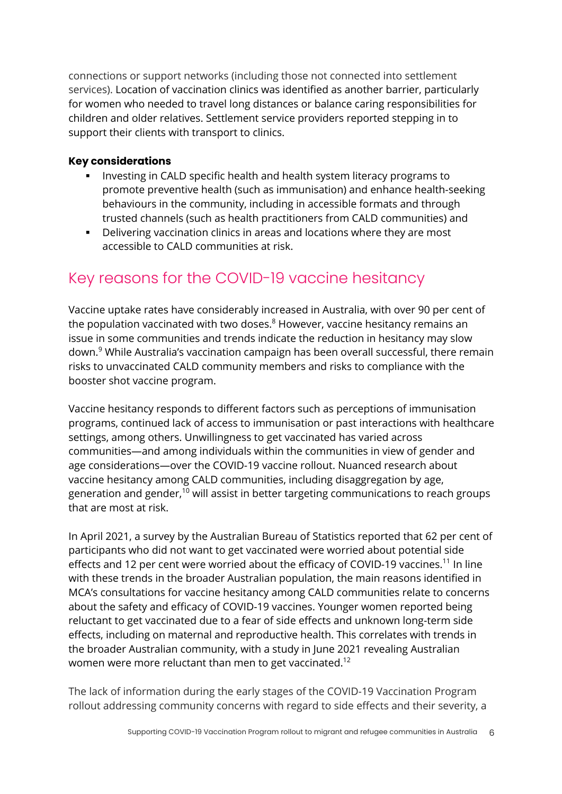connections or support networks (including those not connected into settlement services). Location of vaccination clinics was identified as another barrier, particularly for women who needed to travel long distances or balance caring responsibilities for children and older relatives. Settlement service providers reported stepping in to support their clients with transport to clinics.

#### **Key considerations**

- Investing in CALD specific health and health system literacy programs to promote preventive health (such as immunisation) and enhance health-seeking behaviours in the community, including in accessible formats and through trusted channels (such as health practitioners from CALD communities) and
- § Delivering vaccination clinics in areas and locations where they are most accessible to CALD communities at risk.

## Key reasons for the COVID-19 vaccine hesitancy

Vaccine uptake rates have considerably increased in Australia, with over 90 per cent of the population vaccinated with two doses. $8$  However, vaccine hesitancy remains an issue in some communities and trends indicate the reduction in hesitancy may slow down.<sup>9</sup> While Australia's vaccination campaign has been overall successful, there remain risks to unvaccinated CALD community members and risks to compliance with the booster shot vaccine program.

Vaccine hesitancy responds to different factors such as perceptions of immunisation programs, continued lack of access to immunisation or past interactions with healthcare settings, among others. Unwillingness to get vaccinated has varied across communities—and among individuals within the communities in view of gender and age considerations—over the COVID-19 vaccine rollout. Nuanced research about vaccine hesitancy among CALD communities, including disaggregation by age, generation and gender, <sup>10</sup> will assist in better targeting communications to reach groups that are most at risk.

In April 2021, a survey by the Australian Bureau of Statistics reported that 62 per cent of participants who did not want to get vaccinated were worried about potential side effects and 12 per cent were worried about the efficacy of COVID-19 vaccines.<sup>11</sup> In line with these trends in the broader Australian population, the main reasons identified in MCA's consultations for vaccine hesitancy among CALD communities relate to concerns about the safety and efficacy of COVID-19 vaccines. Younger women reported being reluctant to get vaccinated due to a fear of side effects and unknown long-term side effects, including on maternal and reproductive health. This correlates with trends in the broader Australian community, with a study in June 2021 revealing Australian women were more reluctant than men to get vaccinated.<sup>12</sup>

The lack of information during the early stages of the COVID-19 Vaccination Program rollout addressing community concerns with regard to side effects and their severity, a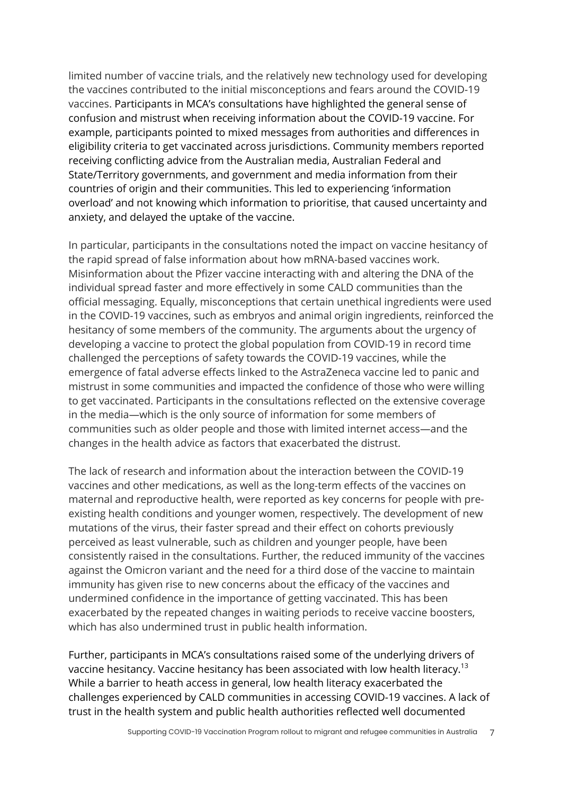limited number of vaccine trials, and the relatively new technology used for developing the vaccines contributed to the initial misconceptions and fears around the COVID-19 vaccines. Participants in MCA's consultations have highlighted the general sense of confusion and mistrust when receiving information about the COVID-19 vaccine. For example, participants pointed to mixed messages from authorities and differences in eligibility criteria to get vaccinated across jurisdictions. Community members reported receiving conflicting advice from the Australian media, Australian Federal and State/Territory governments, and government and media information from their countries of origin and their communities. This led to experiencing 'information overload' and not knowing which information to prioritise, that caused uncertainty and anxiety, and delayed the uptake of the vaccine.

In particular, participants in the consultations noted the impact on vaccine hesitancy of the rapid spread of false information about how mRNA-based vaccines work. Misinformation about the Pfizer vaccine interacting with and altering the DNA of the individual spread faster and more effectively in some CALD communities than the official messaging. Equally, misconceptions that certain unethical ingredients were used in the COVID-19 vaccines, such as embryos and animal origin ingredients, reinforced the hesitancy of some members of the community. The arguments about the urgency of developing a vaccine to protect the global population from COVID-19 in record time challenged the perceptions of safety towards the COVID-19 vaccines, while the emergence of fatal adverse effects linked to the AstraZeneca vaccine led to panic and mistrust in some communities and impacted the confidence of those who were willing to get vaccinated. Participants in the consultations reflected on the extensive coverage in the media—which is the only source of information for some members of communities such as older people and those with limited internet access—and the changes in the health advice as factors that exacerbated the distrust.

The lack of research and information about the interaction between the COVID-19 vaccines and other medications, as well as the long-term effects of the vaccines on maternal and reproductive health, were reported as key concerns for people with preexisting health conditions and younger women, respectively. The development of new mutations of the virus, their faster spread and their effect on cohorts previously perceived as least vulnerable, such as children and younger people, have been consistently raised in the consultations. Further, the reduced immunity of the vaccines against the Omicron variant and the need for a third dose of the vaccine to maintain immunity has given rise to new concerns about the efficacy of the vaccines and undermined confidence in the importance of getting vaccinated. This has been exacerbated by the repeated changes in waiting periods to receive vaccine boosters, which has also undermined trust in public health information.

Further, participants in MCA's consultations raised some of the underlying drivers of vaccine hesitancy. Vaccine hesitancy has been associated with low health literacy.<sup>13</sup> While a barrier to heath access in general, low health literacy exacerbated the challenges experienced by CALD communities in accessing COVID-19 vaccines. A lack of trust in the health system and public health authorities reflected well documented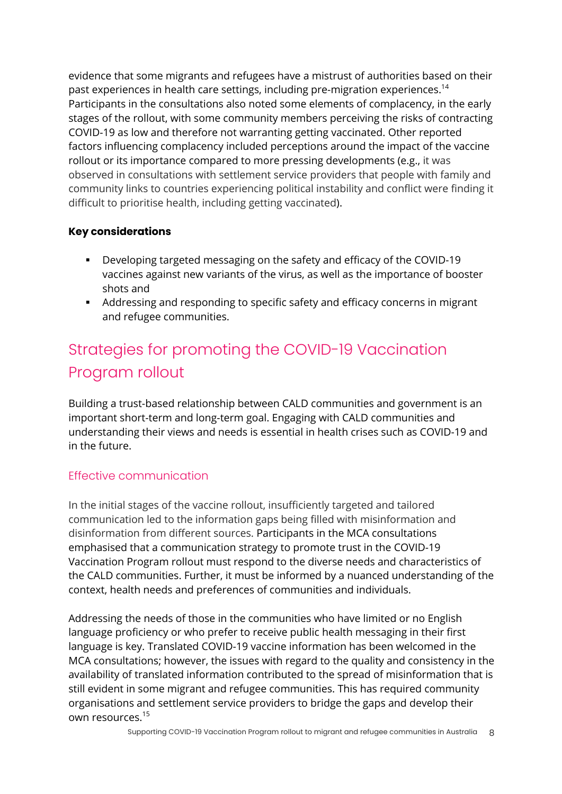evidence that some migrants and refugees have a mistrust of authorities based on their past experiences in health care settings, including pre-migration experiences.<sup>14</sup> Participants in the consultations also noted some elements of complacency, in the early stages of the rollout, with some community members perceiving the risks of contracting COVID-19 as low and therefore not warranting getting vaccinated. Other reported factors influencing complacency included perceptions around the impact of the vaccine rollout or its importance compared to more pressing developments (e.g., it was observed in consultations with settlement service providers that people with family and community links to countries experiencing political instability and conflict were finding it difficult to prioritise health, including getting vaccinated).

### **Key considerations**

- § Developing targeted messaging on the safety and efficacy of the COVID-19 vaccines against new variants of the virus, as well as the importance of booster shots and
- § Addressing and responding to specific safety and efficacy concerns in migrant and refugee communities.

# Strategies for promoting the COVID-19 Vaccination Program rollout

Building a trust-based relationship between CALD communities and government is an important short-term and long-term goal. Engaging with CALD communities and understanding their views and needs is essential in health crises such as COVID-19 and in the future.

### Effective communication

In the initial stages of the vaccine rollout, insufficiently targeted and tailored communication led to the information gaps being filled with misinformation and disinformation from different sources. Participants in the MCA consultations emphasised that a communication strategy to promote trust in the COVID-19 Vaccination Program rollout must respond to the diverse needs and characteristics of the CALD communities. Further, it must be informed by a nuanced understanding of the context, health needs and preferences of communities and individuals.

Addressing the needs of those in the communities who have limited or no English language proficiency or who prefer to receive public health messaging in their first language is key. Translated COVID-19 vaccine information has been welcomed in the MCA consultations; however, the issues with regard to the quality and consistency in the availability of translated information contributed to the spread of misinformation that is still evident in some migrant and refugee communities. This has required community organisations and settlement service providers to bridge the gaps and develop their own resources.<sup>15</sup>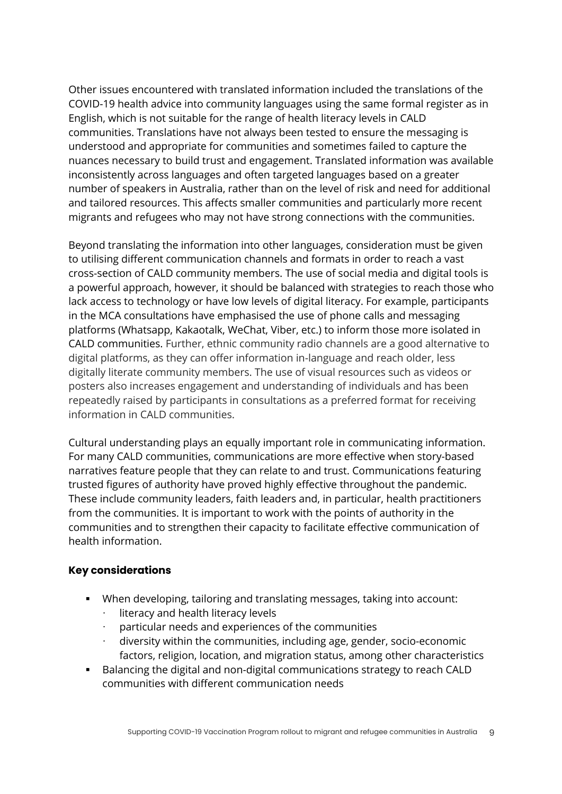Other issues encountered with translated information included the translations of the COVID-19 health advice into community languages using the same formal register as in English, which is not suitable for the range of health literacy levels in CALD communities. Translations have not always been tested to ensure the messaging is understood and appropriate for communities and sometimes failed to capture the nuances necessary to build trust and engagement. Translated information was available inconsistently across languages and often targeted languages based on a greater number of speakers in Australia, rather than on the level of risk and need for additional and tailored resources. This affects smaller communities and particularly more recent migrants and refugees who may not have strong connections with the communities.

Beyond translating the information into other languages, consideration must be given to utilising different communication channels and formats in order to reach a vast cross-section of CALD community members. The use of social media and digital tools is a powerful approach, however, it should be balanced with strategies to reach those who lack access to technology or have low levels of digital literacy. For example, participants in the MCA consultations have emphasised the use of phone calls and messaging platforms (Whatsapp, Kakaotalk, WeChat, Viber, etc.) to inform those more isolated in CALD communities. Further, ethnic community radio channels are a good alternative to digital platforms, as they can offer information in-language and reach older, less digitally literate community members. The use of visual resources such as videos or posters also increases engagement and understanding of individuals and has been repeatedly raised by participants in consultations as a preferred format for receiving information in CALD communities.

Cultural understanding plays an equally important role in communicating information. For many CALD communities, communications are more effective when story-based narratives feature people that they can relate to and trust. Communications featuring trusted figures of authority have proved highly effective throughout the pandemic. These include community leaders, faith leaders and, in particular, health practitioners from the communities. It is important to work with the points of authority in the communities and to strengthen their capacity to facilitate effective communication of health information.

#### **Key considerations**

- § When developing, tailoring and translating messages, taking into account:
	- literacy and health literacy levels
	- particular needs and experiences of the communities
	- diversity within the communities, including age, gender, socio-economic factors, religion, location, and migration status, among other characteristics
- § Balancing the digital and non-digital communications strategy to reach CALD communities with different communication needs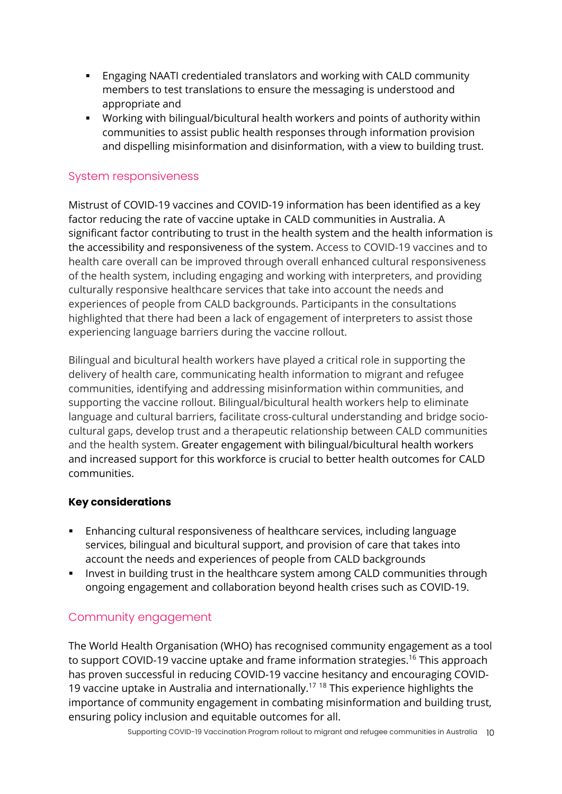- § Engaging NAATI credentialed translators and working with CALD community members to test translations to ensure the messaging is understood and appropriate and
- § Working with bilingual/bicultural health workers and points of authority within communities to assist public health responses through information provision and dispelling misinformation and disinformation, with a view to building trust.

### System responsiveness

Mistrust of COVID-19 vaccines and COVID-19 information has been identified as a key factor reducing the rate of vaccine uptake in CALD communities in Australia. A significant factor contributing to trust in the health system and the health information is the accessibility and responsiveness of the system. Access to COVID-19 vaccines and to health care overall can be improved through overall enhanced cultural responsiveness of the health system, including engaging and working with interpreters, and providing culturally responsive healthcare services that take into account the needs and experiences of people from CALD backgrounds. Participants in the consultations highlighted that there had been a lack of engagement of interpreters to assist those experiencing language barriers during the vaccine rollout.

Bilingual and bicultural health workers have played a critical role in supporting the delivery of health care, communicating health information to migrant and refugee communities, identifying and addressing misinformation within communities, and supporting the vaccine rollout. Bilingual/bicultural health workers help to eliminate language and cultural barriers, facilitate cross-cultural understanding and bridge sociocultural gaps, develop trust and a therapeutic relationship between CALD communities and the health system. Greater engagement with bilingual/bicultural health workers and increased support for this workforce is crucial to better health outcomes for CALD communities.

#### **Key considerations**

- § Enhancing cultural responsiveness of healthcare services, including language services, bilingual and bicultural support, and provision of care that takes into account the needs and experiences of people from CALD backgrounds
- **Invest in building trust in the healthcare system among CALD communities through** ongoing engagement and collaboration beyond health crises such as COVID-19.

### Community engagement

The World Health Organisation (WHO) has recognised community engagement as a tool to support COVID-19 vaccine uptake and frame information strategies.<sup>16</sup> This approach has proven successful in reducing COVID-19 vaccine hesitancy and encouraging COVID-19 vaccine uptake in Australia and internationally.<sup>17 18</sup> This experience highlights the importance of community engagement in combating misinformation and building trust, ensuring policy inclusion and equitable outcomes for all.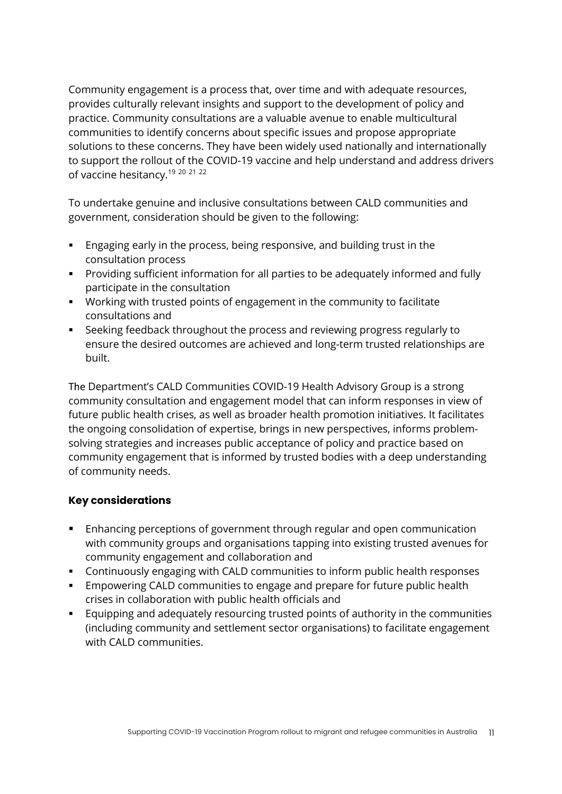Community engagement is a process that, over time and with adequate resources, provides culturally relevant insights and support to the development of policy and practice. Community consultations are a valuable avenue to enable multicultural communities to identify concerns about specific issues and propose appropriate solutions to these concerns. They have been widely used nationally and internationally to support the rollout of the COVID-19 vaccine and help understand and address drivers of vaccine hesitancy.<sup>19 20 21 22</sup>

To undertake genuine and inclusive consultations between CALD communities and government, consideration should be given to the following:

- § Engaging early in the process, being responsive, and building trust in the consultation process
- § Providing sufficient information for all parties to be adequately informed and fully participate in the consultation
- § Working with trusted points of engagement in the community to facilitate consultations and
- § Seeking feedback throughout the process and reviewing progress regularly to ensure the desired outcomes are achieved and long-term trusted relationships are built.

The Department's CALD Communities COVID-19 Health Advisory Group is a strong community consultation and engagement model that can inform responses in view of future public health crises, as well as broader health promotion initiatives. It facilitates the ongoing consolidation of expertise, brings in new perspectives, informs problemsolving strategies and increases public acceptance of policy and practice based on community engagement that is informed by trusted bodies with a deep understanding of community needs.

### **Key considerations**

- Enhancing perceptions of government through regular and open communication with community groups and organisations tapping into existing trusted avenues for community engagement and collaboration and
- § Continuously engaging with CALD communities to inform public health responses
- § Empowering CALD communities to engage and prepare for future public health crises in collaboration with public health officials and
- § Equipping and adequately resourcing trusted points of authority in the communities (including community and settlement sector organisations) to facilitate engagement with CALD communities.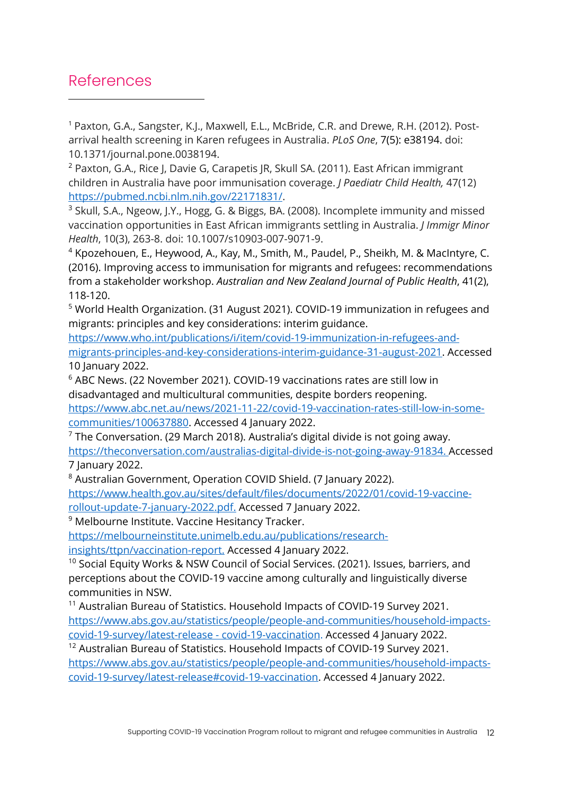### References

<sup>1</sup> Paxton, G.A., Sangster, K.J., Maxwell, E.L., McBride, C.R. and Drewe, R.H. (2012). Postarrival health screening in Karen refugees in Australia. *PLoS One*, 7(5): e38194. doi: 10.1371/journal.pone.0038194.

<sup>2</sup> Paxton, G.A., Rice J, Davie G, Carapetis JR, Skull SA. (2011). East African immigrant children in Australia have poor immunisation coverage. *J Paediatr Child Health,* 47(12) https://pubmed.ncbi.nlm.nih.gov/22171831/.

<sup>3</sup> Skull, S.A., Ngeow, J.Y., Hogg, G. & Biggs, BA. (2008). Incomplete immunity and missed vaccination opportunities in East African immigrants settling in Australia. *J Immigr Minor Health*, 10(3), 263-8. doi: 10.1007/s10903-007-9071-9.

<sup>4</sup> Kpozehouen, E., Heywood, A., Kay, M., Smith, M., Paudel, P., Sheikh, M. & MacIntyre, C. (2016). Improving access to immunisation for migrants and refugees: recommendations from a stakeholder workshop. *Australian and New Zealand Journal of Public Health*, 41(2), 118-120.

<sup>5</sup> World Health Organization. (31 August 2021). COVID-19 immunization in refugees and migrants: principles and key considerations: interim guidance.

https://www.who.int/publications/i/item/covid-19-immunization-in-refugees-andmigrants-principles-and-key-considerations-interim-guidance-31-august-2021. Accessed 10 January 2022.

<sup>6</sup> ABC News. (22 November 2021). COVID-19 vaccinations rates are still low in disadvantaged and multicultural communities, despite borders reopening.

https://www.abc.net.au/news/2021-11-22/covid-19-vaccination-rates-still-low-in-somecommunities/100637880. Accessed 4 January 2022.<br><sup>7</sup> The Conversation. (29 March 2018). Australia's digital divide is not going away.

https://theconversation.com/australias-digital-divide-is-not-going-away-91834. Accessed

7 January 2022.<br><sup>8</sup> Australian Government, Operation COVID Shield. (7 January 2022). https://www.health.gov.au/sites/default/files/documents/2022/01/covid-19-vaccinerollout-update-7-january-2022.pdf. Accessed 7 January 2022.

<sup>9</sup> Melbourne Institute. Vaccine Hesitancy Tracker.

https://melbourneinstitute.unimelb.edu.au/publications/research-

insights/ttpn/vaccination-report. Accessed 4 January 2022.

<sup>10</sup> Social Equity Works & NSW Council of Social Services. (2021). Issues, barriers, and perceptions about the COVID-19 vaccine among culturally and linguistically diverse communities in NSW.

<sup>11</sup> Australian Bureau of Statistics. Household Impacts of COVID-19 Survey 2021. https://www.abs.gov.au/statistics/people/people-and-communities/household-impactscovid-19-survey/latest-release - covid-19-vaccination. Accessed 4 January 2022.

<sup>12</sup> Australian Bureau of Statistics. Household Impacts of COVID-19 Survey 2021. https://www.abs.gov.au/statistics/people/people-and-communities/household-impactscovid-19-survey/latest-release#covid-19-vaccination. Accessed 4 January 2022.